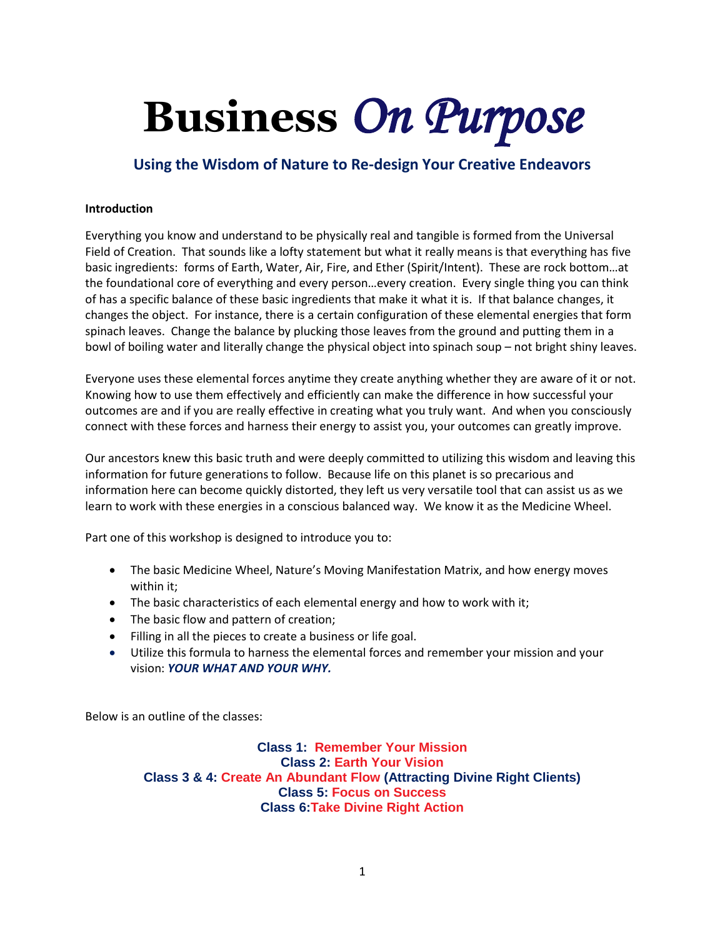# **Business** *On Purpose*

### **Using the Wisdom of Nature to Re-design Your Creative Endeavors**

#### **Introduction**

Everything you know and understand to be physically real and tangible is formed from the Universal Field of Creation. That sounds like a lofty statement but what it really means is that everything has five basic ingredients: forms of Earth, Water, Air, Fire, and Ether (Spirit/Intent). These are rock bottom…at the foundational core of everything and every person…every creation. Every single thing you can think of has a specific balance of these basic ingredients that make it what it is. If that balance changes, it changes the object. For instance, there is a certain configuration of these elemental energies that form spinach leaves. Change the balance by plucking those leaves from the ground and putting them in a bowl of boiling water and literally change the physical object into spinach soup – not bright shiny leaves.

Everyone uses these elemental forces anytime they create anything whether they are aware of it or not. Knowing how to use them effectively and efficiently can make the difference in how successful your outcomes are and if you are really effective in creating what you truly want. And when you consciously connect with these forces and harness their energy to assist you, your outcomes can greatly improve.

Our ancestors knew this basic truth and were deeply committed to utilizing this wisdom and leaving this information for future generations to follow. Because life on this planet is so precarious and information here can become quickly distorted, they left us very versatile tool that can assist us as we learn to work with these energies in a conscious balanced way. We know it as the Medicine Wheel.

Part one of this workshop is designed to introduce you to:

- The basic Medicine Wheel, Nature's Moving Manifestation Matrix, and how energy moves within it;
- The basic characteristics of each elemental energy and how to work with it;
- The basic flow and pattern of creation;
- Filling in all the pieces to create a business or life goal.
- Utilize this formula to harness the elemental forces and remember your mission and your vision: *YOUR WHAT AND YOUR WHY.*

Below is an outline of the classes:

**Class 1: Remember Your Mission Class 2: Earth Your Vision Class 3 & 4: Create An Abundant Flow (Attracting Divine Right Clients) Class 5: Focus on Success Class 6:Take Divine Right Action**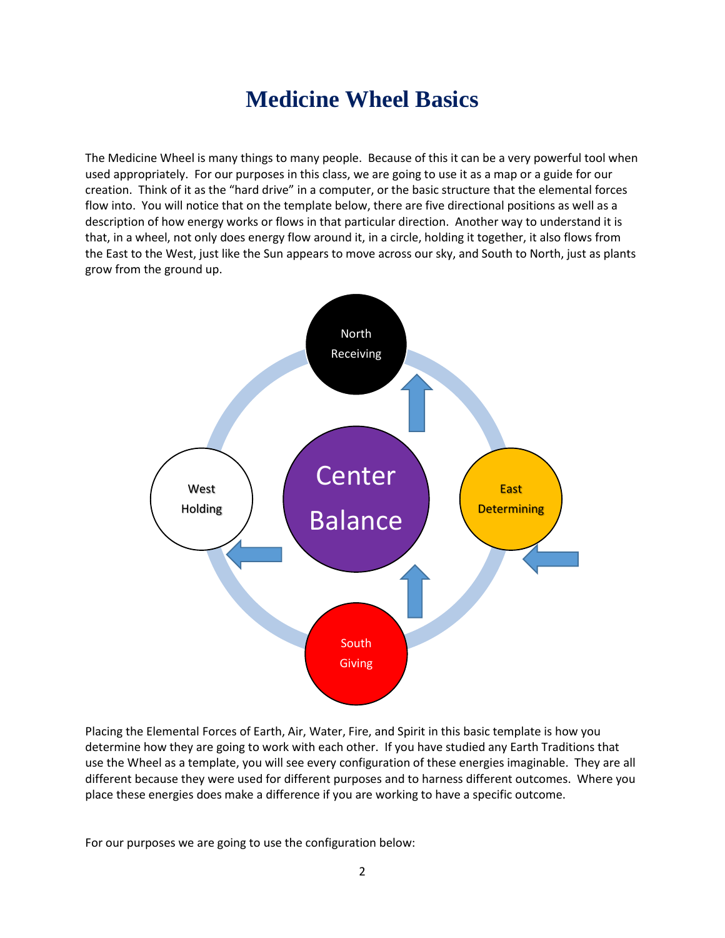### **Medicine Wheel Basics**

The Medicine Wheel is many things to many people. Because of this it can be a very powerful tool when used appropriately. For our purposes in this class, we are going to use it as a map or a guide for our creation. Think of it as the "hard drive" in a computer, or the basic structure that the elemental forces flow into. You will notice that on the template below, there are five directional positions as well as a description of how energy works or flows in that particular direction. Another way to understand it is that, in a wheel, not only does energy flow around it, in a circle, holding it together, it also flows from the East to the West, just like the Sun appears to move across our sky, and South to North, just as plants grow from the ground up.



Placing the Elemental Forces of Earth, Air, Water, Fire, and Spirit in this basic template is how you determine how they are going to work with each other. If you have studied any Earth Traditions that use the Wheel as a template, you will see every configuration of these energies imaginable. They are all different because they were used for different purposes and to harness different outcomes. Where you place these energies does make a difference if you are working to have a specific outcome.

For our purposes we are going to use the configuration below: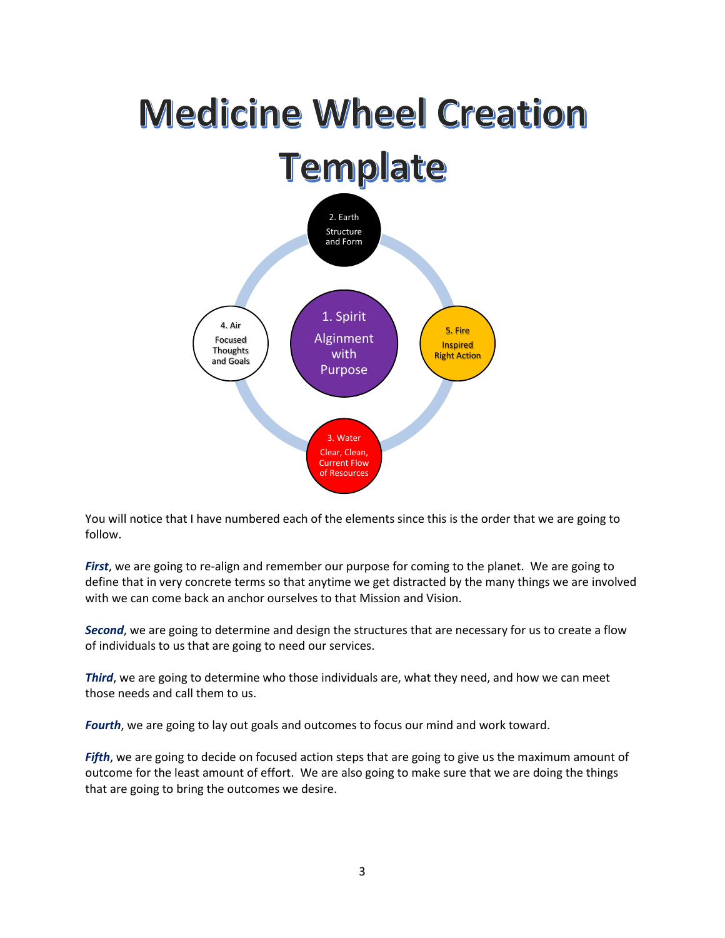### **Medicine Wheel Creation Template** 2. Earth Structure and Form 1. Spirit 4. Air 5. Fire Alginment Focused Inspired **Thoughts** with Right Action and GoalsPurpose 3. Water Clear, Clean, Current Flow of Resources

You will notice that I have numbered each of the elements since this is the order that we are going to follow.

*First*, we are going to re-align and remember our purpose for coming to the planet. We are going to define that in very concrete terms so that anytime we get distracted by the many things we are involved with we can come back an anchor ourselves to that Mission and Vision.

*Second*, we are going to determine and design the structures that are necessary for us to create a flow of individuals to us that are going to need our services.

*Third*, we are going to determine who those individuals are, what they need, and how we can meet those needs and call them to us.

*Fourth*, we are going to lay out goals and outcomes to focus our mind and work toward.

*Fifth*, we are going to decide on focused action steps that are going to give us the maximum amount of outcome for the least amount of effort. We are also going to make sure that we are doing the things that are going to bring the outcomes we desire.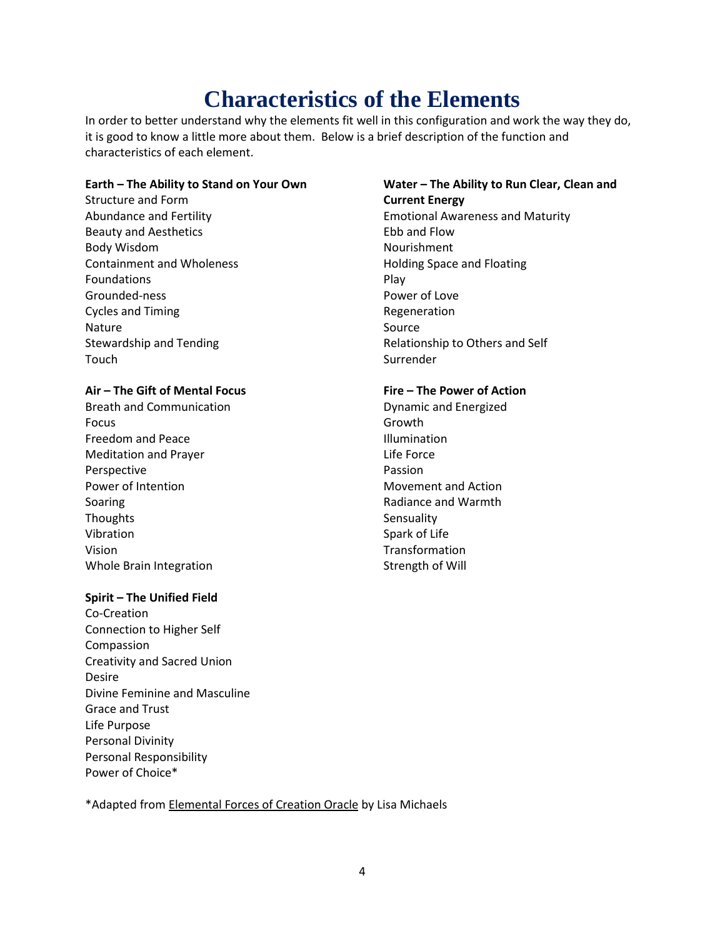## **Characteristics of the Elements**

In order to better understand why the elements fit well in this configuration and work the way they do, it is good to know a little more about them. Below is a brief description of the function and characteristics of each element.

#### **Earth – The Ability to Stand on Your Own Water – The Ability to Run Clear, Clean and**

Structure and Form **Current Energy** Beauty and Aesthetics **Ebb** and Flow Body Wisdom Nourishment Containment and Wholeness **Exercise Server and Floating Space and Floating** Foundations **Play** Grounded-ness **Power of Love** Cycles and Timing **Regeneration** Regeneration Nature Source and Source Source Source Touch and the state of the Surrender Surrender

#### **Air – The Gift of Mental Focus Fire – The Power of Action**

Breath and Communication **Breath and Communication Dynamic and Energized** Focus **Growth** Freedom and Peace **Illumination** Meditation and Prayer **Life Force** Perspective **Passion** Power of Intention **Movement and Action** Movement and Action Soaring **Soaring Radiance and Warmth** Thoughts **Sensuality** Sensuality Vibration Spark of Life Vision Transformation Whole Brain Integration Strength of Will Strength of Will

#### **Spirit – The Unified Field**

Co-Creation Connection to Higher Self Compassion Creativity and Sacred Union Desire Divine Feminine and Masculine Grace and Trust Life Purpose Personal Divinity Personal Responsibility Power of Choice\*

Abundance and Fertility Emotional Awareness and Maturity Stewardship and Tending Tending Relationship to Others and Self

\*Adapted from Elemental Forces of Creation Oracle by Lisa Michaels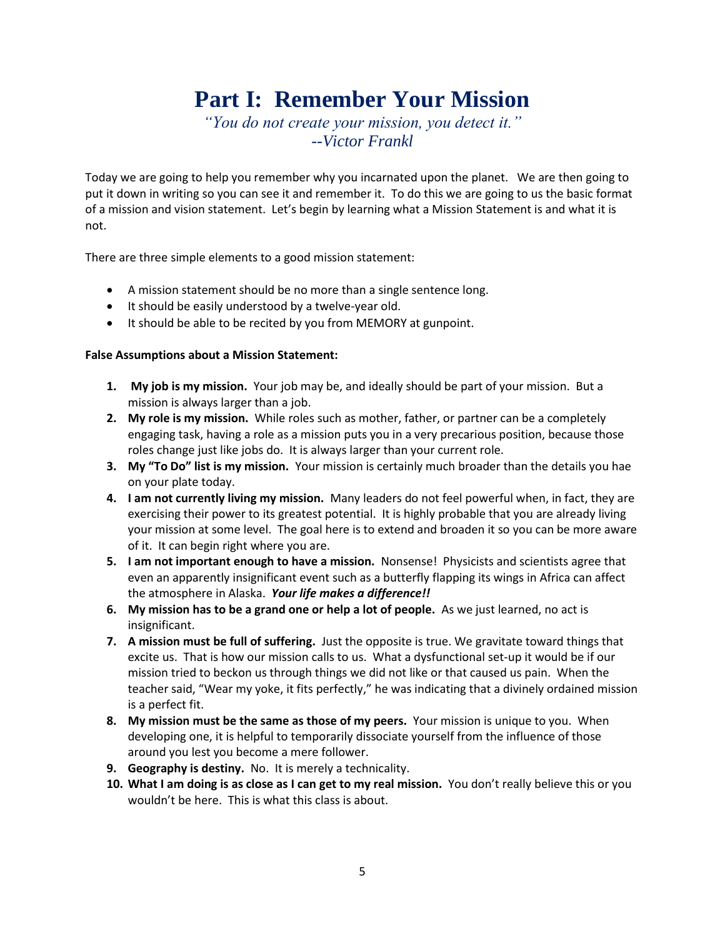## **Part I: Remember Your Mission**

*"You do not create your mission, you detect it." --Victor Frankl*

Today we are going to help you remember why you incarnated upon the planet. We are then going to put it down in writing so you can see it and remember it. To do this we are going to us the basic format of a mission and vision statement. Let's begin by learning what a Mission Statement is and what it is not.

There are three simple elements to a good mission statement:

- A mission statement should be no more than a single sentence long.
- It should be easily understood by a twelve-year old.
- It should be able to be recited by you from MEMORY at gunpoint.

#### **False Assumptions about a Mission Statement:**

- **1. My job is my mission.** Your job may be, and ideally should be part of your mission. But a mission is always larger than a job.
- **2. My role is my mission.** While roles such as mother, father, or partner can be a completely engaging task, having a role as a mission puts you in a very precarious position, because those roles change just like jobs do. It is always larger than your current role.
- **3. My "To Do" list is my mission.** Your mission is certainly much broader than the details you hae on your plate today.
- **4. I am not currently living my mission.** Many leaders do not feel powerful when, in fact, they are exercising their power to its greatest potential. It is highly probable that you are already living your mission at some level. The goal here is to extend and broaden it so you can be more aware of it. It can begin right where you are.
- **5. I am not important enough to have a mission.** Nonsense! Physicists and scientists agree that even an apparently insignificant event such as a butterfly flapping its wings in Africa can affect the atmosphere in Alaska. *Your life makes a difference!!*
- **6. My mission has to be a grand one or help a lot of people.** As we just learned, no act is insignificant.
- **7. A mission must be full of suffering.** Just the opposite is true. We gravitate toward things that excite us. That is how our mission calls to us. What a dysfunctional set-up it would be if our mission tried to beckon us through things we did not like or that caused us pain. When the teacher said, "Wear my yoke, it fits perfectly," he was indicating that a divinely ordained mission is a perfect fit.
- **8. My mission must be the same as those of my peers.** Your mission is unique to you. When developing one, it is helpful to temporarily dissociate yourself from the influence of those around you lest you become a mere follower.
- **9. Geography is destiny.** No. It is merely a technicality.
- **10. What I am doing is as close as I can get to my real mission.** You don't really believe this or you wouldn't be here. This is what this class is about.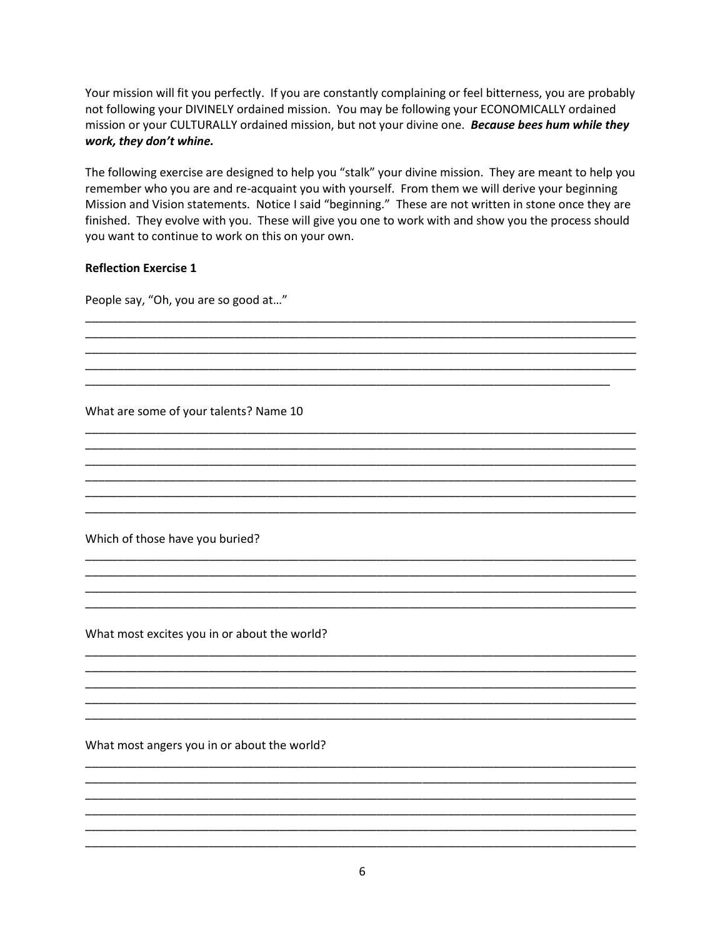Your mission will fit you perfectly. If you are constantly complaining or feel bitterness, you are probably not following your DIVINELY ordained mission. You may be following your ECONOMICALLY ordained mission or your CULTURALLY ordained mission, but not your divine one. Because bees hum while they work, they don't whine.

The following exercise are designed to help you "stalk" your divine mission. They are meant to help you remember who you are and re-acquaint you with yourself. From them we will derive your beginning Mission and Vision statements. Notice I said "beginning." These are not written in stone once they are finished. They evolve with you. These will give you one to work with and show you the process should you want to continue to work on this on your own.

#### **Reflection Exercise 1**

People say, "Oh, you are so good at..."

What are some of your talents? Name 10

Which of those have you buried?

What most excites you in or about the world?

What most angers you in or about the world?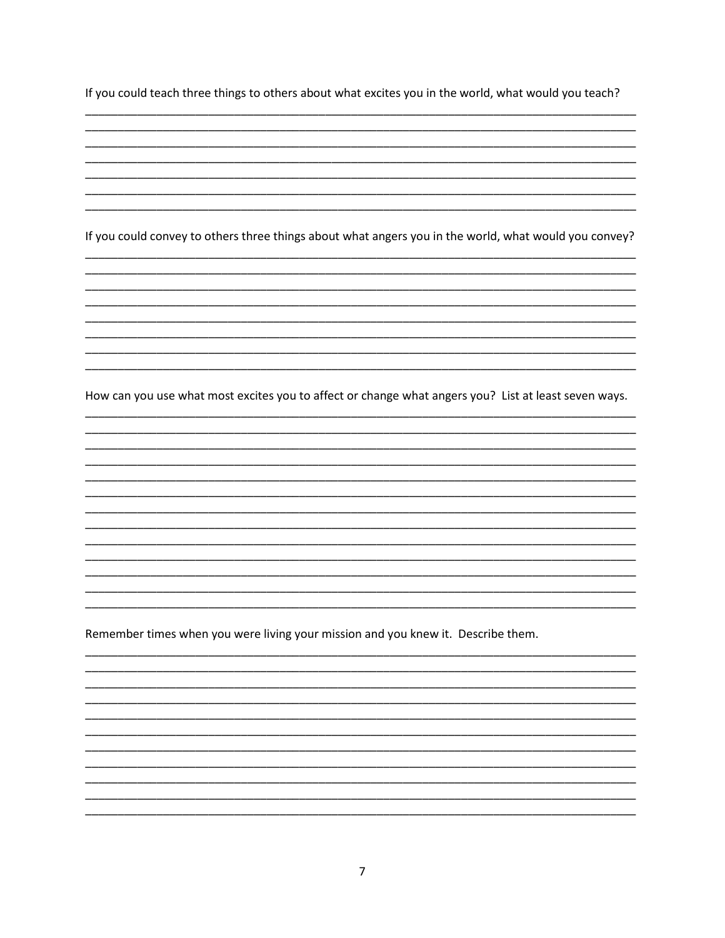If you could teach three things to others about what excites you in the world, what would you teach?

If you could convey to others three things about what angers you in the world, what would you convey?

How can you use what most excites you to affect or change what angers you? List at least seven ways.

Remember times when you were living your mission and you knew it. Describe them.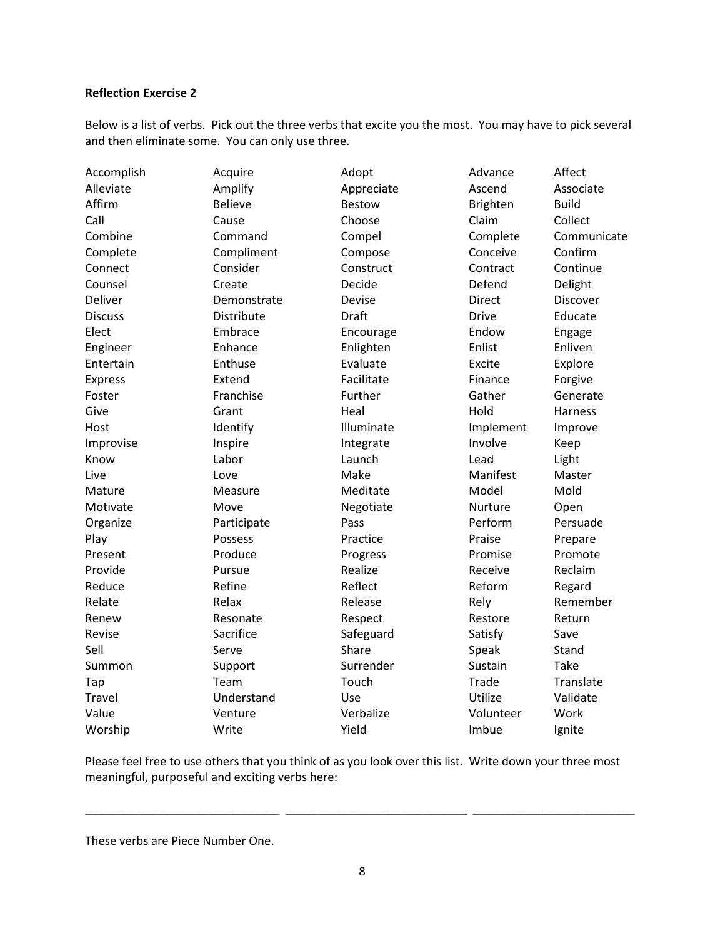#### **Reflection Exercise 2**

Below is a list of verbs. Pick out the three verbs that excite you the most. You may have to pick several and then eliminate some. You can only use three.

| Accomplish     | Acquire        | Adopt         | Advance         | Affect       |
|----------------|----------------|---------------|-----------------|--------------|
| Alleviate      | Amplify        | Appreciate    | Ascend          | Associate    |
| Affirm         | <b>Believe</b> | <b>Bestow</b> | <b>Brighten</b> | <b>Build</b> |
| Call           | Cause          | Choose        | Claim           | Collect      |
| Combine        | Command        | Compel        | Complete        | Communicate  |
| Complete       | Compliment     | Compose       | Conceive        | Confirm      |
| Connect        | Consider       | Construct     | Contract        | Continue     |
| Counsel        | Create         | Decide        | Defend          | Delight      |
| Deliver        | Demonstrate    | Devise        | <b>Direct</b>   | Discover     |
| <b>Discuss</b> | Distribute     | <b>Draft</b>  | <b>Drive</b>    | Educate      |
| Elect          | Embrace        | Encourage     | Endow           | Engage       |
| Engineer       | Enhance        | Enlighten     | Enlist          | Enliven      |
| Entertain      | Enthuse        | Evaluate      | Excite          | Explore      |
| <b>Express</b> | Extend         | Facilitate    | Finance         | Forgive      |
| Foster         | Franchise      | Further       | Gather          | Generate     |
| Give           | Grant          | Heal          | Hold            | Harness      |
| Host           | Identify       | Illuminate    | Implement       | Improve      |
| Improvise      | Inspire        | Integrate     | Involve         | Keep         |
| Know           | Labor          | Launch        | Lead            | Light        |
| Live           | Love           | Make          | Manifest        | Master       |
| Mature         | Measure        | Meditate      | Model           | Mold         |
| Motivate       | Move           | Negotiate     | Nurture         | Open         |
| Organize       | Participate    | Pass          | Perform         | Persuade     |
| Play           | Possess        | Practice      | Praise          | Prepare      |
| Present        | Produce        | Progress      | Promise         | Promote      |
| Provide        | Pursue         | Realize       | Receive         | Reclaim      |
| Reduce         | Refine         | Reflect       | Reform          | Regard       |
| Relate         | Relax          | Release       | Rely            | Remember     |
| Renew          | Resonate       | Respect       | Restore         | Return       |
| Revise         | Sacrifice      | Safeguard     | Satisfy         | Save         |
| Sell           | Serve          | Share         | Speak           | Stand        |
| Summon         | Support        | Surrender     | Sustain         | <b>Take</b>  |
| Tap            | Team           | Touch         | Trade           | Translate    |
| Travel         | Understand     | Use           | Utilize         | Validate     |
| Value          | Venture        | Verbalize     | Volunteer       | Work         |
| Worship        | Write          | Yield         | Imbue           | Ignite       |

Please feel free to use others that you think of as you look over this list. Write down your three most meaningful, purposeful and exciting verbs here:

\_\_\_\_\_\_\_\_\_\_\_\_\_\_\_\_\_\_\_\_\_\_\_\_\_\_\_\_\_\_ \_\_\_\_\_\_\_\_\_\_\_\_\_\_\_\_\_\_\_\_\_\_\_\_\_\_\_\_ \_\_\_\_\_\_\_\_\_\_\_\_\_\_\_\_\_\_\_\_\_\_\_\_\_

These verbs are Piece Number One.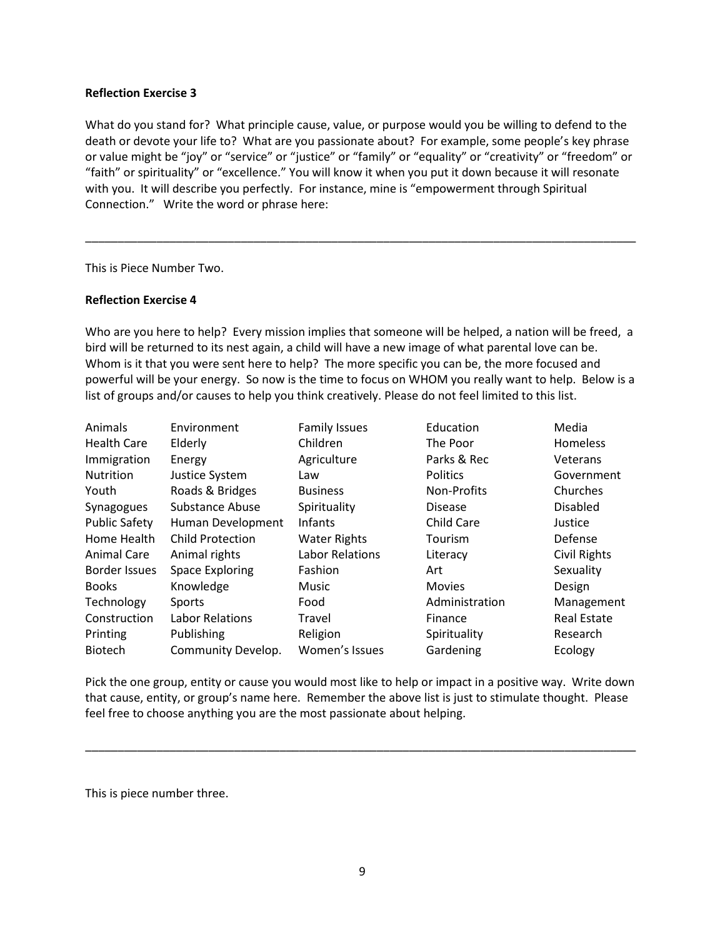#### **Reflection Exercise 3**

What do you stand for? What principle cause, value, or purpose would you be willing to defend to the death or devote your life to? What are you passionate about? For example, some people's key phrase or value might be "joy" or "service" or "justice" or "family" or "equality" or "creativity" or "freedom" or "faith" or spirituality" or "excellence." You will know it when you put it down because it will resonate with you. It will describe you perfectly. For instance, mine is "empowerment through Spiritual Connection." Write the word or phrase here:

\_\_\_\_\_\_\_\_\_\_\_\_\_\_\_\_\_\_\_\_\_\_\_\_\_\_\_\_\_\_\_\_\_\_\_\_\_\_\_\_\_\_\_\_\_\_\_\_\_\_\_\_\_\_\_\_\_\_\_\_\_\_\_\_\_\_\_\_\_\_\_\_\_\_\_\_\_\_\_\_\_\_\_\_\_

This is Piece Number Two.

#### **Reflection Exercise 4**

Who are you here to help? Every mission implies that someone will be helped, a nation will be freed, a bird will be returned to its nest again, a child will have a new image of what parental love can be. Whom is it that you were sent here to help? The more specific you can be, the more focused and powerful will be your energy. So now is the time to focus on WHOM you really want to help. Below is a list of groups and/or causes to help you think creatively. Please do not feel limited to this list.

| Animals              | Environment             | <b>Family Issues</b>   | Education       | Media              |
|----------------------|-------------------------|------------------------|-----------------|--------------------|
| <b>Health Care</b>   | Elderly                 | Children               | The Poor        | Homeless           |
| Immigration          | Energy                  | Agriculture            | Parks & Rec     | Veterans           |
| Nutrition            | Justice System          | Law                    | <b>Politics</b> | Government         |
| Youth                | Roads & Bridges         | <b>Business</b>        | Non-Profits     | Churches           |
| Synagogues           | Substance Abuse         | Spirituality           | <b>Disease</b>  | <b>Disabled</b>    |
| <b>Public Safety</b> | Human Development       | <b>Infants</b>         | Child Care      | Justice            |
| Home Health          | <b>Child Protection</b> | <b>Water Rights</b>    | Tourism         | Defense            |
| Animal Care          | Animal rights           | <b>Labor Relations</b> | Literacy        | Civil Rights       |
| Border Issues        | <b>Space Exploring</b>  | Fashion                | Art             | Sexuality          |
| <b>Books</b>         | Knowledge               | Music                  | <b>Movies</b>   | Design             |
| Technology           | Sports                  | Food                   | Administration  | Management         |
| Construction         | Labor Relations         | Travel                 | Finance         | <b>Real Estate</b> |
| Printing             | Publishing              | Religion               | Spirituality    | Research           |
| <b>Biotech</b>       | Community Develop.      | Women's Issues         | Gardening       | Ecology            |

Pick the one group, entity or cause you would most like to help or impact in a positive way. Write down that cause, entity, or group's name here. Remember the above list is just to stimulate thought. Please feel free to choose anything you are the most passionate about helping.

\_\_\_\_\_\_\_\_\_\_\_\_\_\_\_\_\_\_\_\_\_\_\_\_\_\_\_\_\_\_\_\_\_\_\_\_\_\_\_\_\_\_\_\_\_\_\_\_\_\_\_\_\_\_\_\_\_\_\_\_\_\_\_\_\_\_\_\_\_\_\_\_\_\_\_\_\_\_\_\_\_\_\_\_\_

This is piece number three.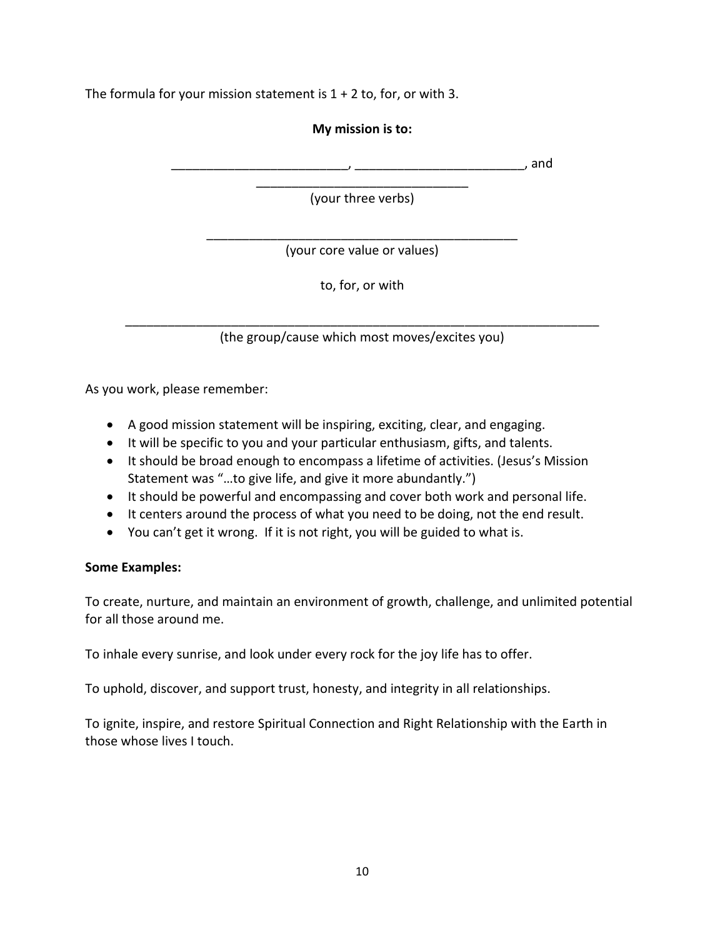The formula for your mission statement is  $1 + 2$  to, for, or with 3.

#### **My mission is to:**

 $\Box$ , and

\_\_\_\_\_\_\_\_\_\_\_\_\_\_\_\_\_\_\_\_\_\_\_\_\_\_\_\_\_\_ (your three verbs)

\_\_\_\_\_\_\_\_\_\_\_\_\_\_\_\_\_\_\_\_\_\_\_\_\_\_\_\_\_\_\_\_\_\_\_\_\_\_\_\_\_\_\_\_ (your core value or values)

to, for, or with

\_\_\_\_\_\_\_\_\_\_\_\_\_\_\_\_\_\_\_\_\_\_\_\_\_\_\_\_\_\_\_\_\_\_\_\_\_\_\_\_\_\_\_\_\_\_\_\_\_\_\_\_\_\_\_\_\_\_\_\_\_\_\_\_\_\_\_ (the group/cause which most moves/excites you)

As you work, please remember:

- A good mission statement will be inspiring, exciting, clear, and engaging.
- It will be specific to you and your particular enthusiasm, gifts, and talents.
- It should be broad enough to encompass a lifetime of activities. (Jesus's Mission Statement was "…to give life, and give it more abundantly.")
- It should be powerful and encompassing and cover both work and personal life.
- It centers around the process of what you need to be doing, not the end result.
- You can't get it wrong. If it is not right, you will be guided to what is.

#### **Some Examples:**

To create, nurture, and maintain an environment of growth, challenge, and unlimited potential for all those around me.

To inhale every sunrise, and look under every rock for the joy life has to offer.

To uphold, discover, and support trust, honesty, and integrity in all relationships.

To ignite, inspire, and restore Spiritual Connection and Right Relationship with the Earth in those whose lives I touch.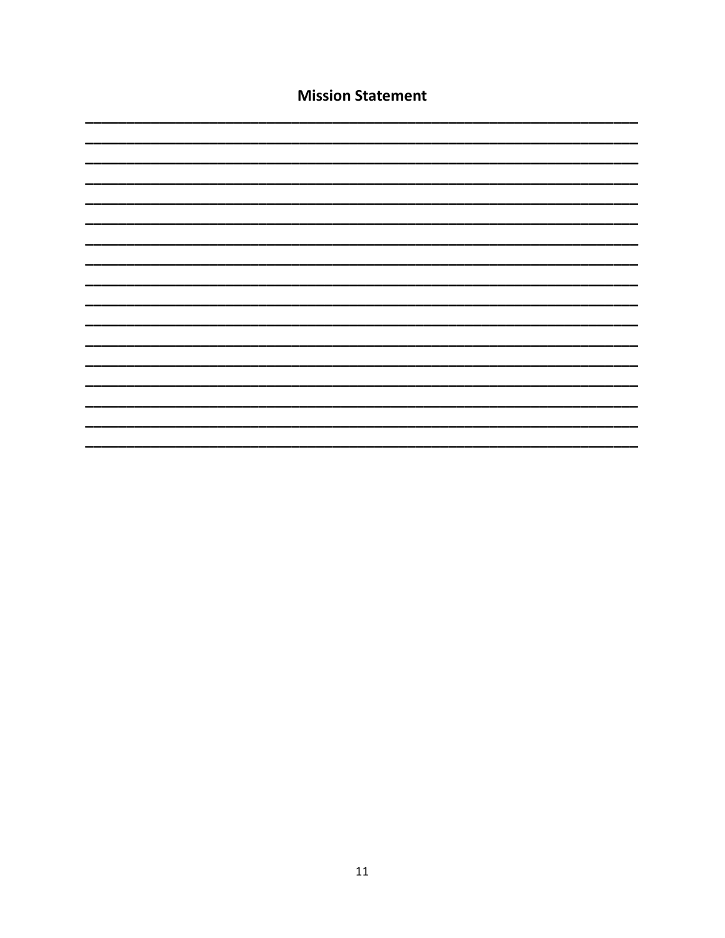| <b>Mission Statement</b> |  |  |  |  |  |
|--------------------------|--|--|--|--|--|
|                          |  |  |  |  |  |
|                          |  |  |  |  |  |
|                          |  |  |  |  |  |
|                          |  |  |  |  |  |
|                          |  |  |  |  |  |
|                          |  |  |  |  |  |
|                          |  |  |  |  |  |
|                          |  |  |  |  |  |
|                          |  |  |  |  |  |
|                          |  |  |  |  |  |
|                          |  |  |  |  |  |
|                          |  |  |  |  |  |
|                          |  |  |  |  |  |
|                          |  |  |  |  |  |
|                          |  |  |  |  |  |
|                          |  |  |  |  |  |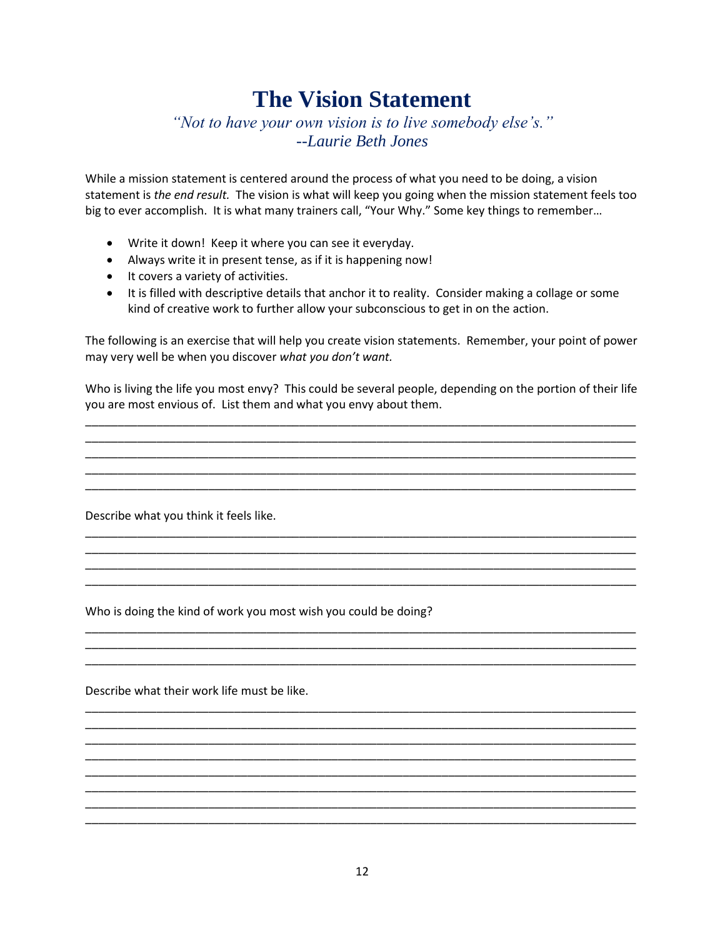### **The Vision Statement**

*"Not to have your own vision is to live somebody else's." --Laurie Beth Jones*

While a mission statement is centered around the process of what you need to be doing, a vision statement is *the end result.* The vision is what will keep you going when the mission statement feels too big to ever accomplish. It is what many trainers call, "Your Why." Some key things to remember…

- Write it down! Keep it where you can see it everyday.
- Always write it in present tense, as if it is happening now!
- It covers a variety of activities.
- It is filled with descriptive details that anchor it to reality. Consider making a collage or some kind of creative work to further allow your subconscious to get in on the action.

The following is an exercise that will help you create vision statements. Remember, your point of power may very well be when you discover *what you don't want.*

Who is living the life you most envy? This could be several people, depending on the portion of their life you are most envious of. List them and what you envy about them.

\_\_\_\_\_\_\_\_\_\_\_\_\_\_\_\_\_\_\_\_\_\_\_\_\_\_\_\_\_\_\_\_\_\_\_\_\_\_\_\_\_\_\_\_\_\_\_\_\_\_\_\_\_\_\_\_\_\_\_\_\_\_\_\_\_\_\_\_\_\_\_\_\_\_\_\_\_\_\_\_\_\_\_\_\_

\_\_\_\_\_\_\_\_\_\_\_\_\_\_\_\_\_\_\_\_\_\_\_\_\_\_\_\_\_\_\_\_\_\_\_\_\_\_\_\_\_\_\_\_\_\_\_\_\_\_\_\_\_\_\_\_\_\_\_\_\_\_\_\_\_\_\_\_\_\_\_\_\_\_\_\_\_\_\_\_\_\_\_\_\_ \_\_\_\_\_\_\_\_\_\_\_\_\_\_\_\_\_\_\_\_\_\_\_\_\_\_\_\_\_\_\_\_\_\_\_\_\_\_\_\_\_\_\_\_\_\_\_\_\_\_\_\_\_\_\_\_\_\_\_\_\_\_\_\_\_\_\_\_\_\_\_\_\_\_\_\_\_\_\_\_\_\_\_\_\_ \_\_\_\_\_\_\_\_\_\_\_\_\_\_\_\_\_\_\_\_\_\_\_\_\_\_\_\_\_\_\_\_\_\_\_\_\_\_\_\_\_\_\_\_\_\_\_\_\_\_\_\_\_\_\_\_\_\_\_\_\_\_\_\_\_\_\_\_\_\_\_\_\_\_\_\_\_\_\_\_\_\_\_\_\_

\_\_\_\_\_\_\_\_\_\_\_\_\_\_\_\_\_\_\_\_\_\_\_\_\_\_\_\_\_\_\_\_\_\_\_\_\_\_\_\_\_\_\_\_\_\_\_\_\_\_\_\_\_\_\_\_\_\_\_\_\_\_\_\_\_\_\_\_\_\_\_\_\_\_\_\_\_\_\_\_\_\_\_\_\_ \_\_\_\_\_\_\_\_\_\_\_\_\_\_\_\_\_\_\_\_\_\_\_\_\_\_\_\_\_\_\_\_\_\_\_\_\_\_\_\_\_\_\_\_\_\_\_\_\_\_\_\_\_\_\_\_\_\_\_\_\_\_\_\_\_\_\_\_\_\_\_\_\_\_\_\_\_\_\_\_\_\_\_\_\_ \_\_\_\_\_\_\_\_\_\_\_\_\_\_\_\_\_\_\_\_\_\_\_\_\_\_\_\_\_\_\_\_\_\_\_\_\_\_\_\_\_\_\_\_\_\_\_\_\_\_\_\_\_\_\_\_\_\_\_\_\_\_\_\_\_\_\_\_\_\_\_\_\_\_\_\_\_\_\_\_\_\_\_\_\_ \_\_\_\_\_\_\_\_\_\_\_\_\_\_\_\_\_\_\_\_\_\_\_\_\_\_\_\_\_\_\_\_\_\_\_\_\_\_\_\_\_\_\_\_\_\_\_\_\_\_\_\_\_\_\_\_\_\_\_\_\_\_\_\_\_\_\_\_\_\_\_\_\_\_\_\_\_\_\_\_\_\_\_\_\_

\_\_\_\_\_\_\_\_\_\_\_\_\_\_\_\_\_\_\_\_\_\_\_\_\_\_\_\_\_\_\_\_\_\_\_\_\_\_\_\_\_\_\_\_\_\_\_\_\_\_\_\_\_\_\_\_\_\_\_\_\_\_\_\_\_\_\_\_\_\_\_\_\_\_\_\_\_\_\_\_\_\_\_\_\_ \_\_\_\_\_\_\_\_\_\_\_\_\_\_\_\_\_\_\_\_\_\_\_\_\_\_\_\_\_\_\_\_\_\_\_\_\_\_\_\_\_\_\_\_\_\_\_\_\_\_\_\_\_\_\_\_\_\_\_\_\_\_\_\_\_\_\_\_\_\_\_\_\_\_\_\_\_\_\_\_\_\_\_\_\_ \_\_\_\_\_\_\_\_\_\_\_\_\_\_\_\_\_\_\_\_\_\_\_\_\_\_\_\_\_\_\_\_\_\_\_\_\_\_\_\_\_\_\_\_\_\_\_\_\_\_\_\_\_\_\_\_\_\_\_\_\_\_\_\_\_\_\_\_\_\_\_\_\_\_\_\_\_\_\_\_\_\_\_\_\_

\_\_\_\_\_\_\_\_\_\_\_\_\_\_\_\_\_\_\_\_\_\_\_\_\_\_\_\_\_\_\_\_\_\_\_\_\_\_\_\_\_\_\_\_\_\_\_\_\_\_\_\_\_\_\_\_\_\_\_\_\_\_\_\_\_\_\_\_\_\_\_\_\_\_\_\_\_\_\_\_\_\_\_\_\_ \_\_\_\_\_\_\_\_\_\_\_\_\_\_\_\_\_\_\_\_\_\_\_\_\_\_\_\_\_\_\_\_\_\_\_\_\_\_\_\_\_\_\_\_\_\_\_\_\_\_\_\_\_\_\_\_\_\_\_\_\_\_\_\_\_\_\_\_\_\_\_\_\_\_\_\_\_\_\_\_\_\_\_\_\_ \_\_\_\_\_\_\_\_\_\_\_\_\_\_\_\_\_\_\_\_\_\_\_\_\_\_\_\_\_\_\_\_\_\_\_\_\_\_\_\_\_\_\_\_\_\_\_\_\_\_\_\_\_\_\_\_\_\_\_\_\_\_\_\_\_\_\_\_\_\_\_\_\_\_\_\_\_\_\_\_\_\_\_\_\_ \_\_\_\_\_\_\_\_\_\_\_\_\_\_\_\_\_\_\_\_\_\_\_\_\_\_\_\_\_\_\_\_\_\_\_\_\_\_\_\_\_\_\_\_\_\_\_\_\_\_\_\_\_\_\_\_\_\_\_\_\_\_\_\_\_\_\_\_\_\_\_\_\_\_\_\_\_\_\_\_\_\_\_\_\_ \_\_\_\_\_\_\_\_\_\_\_\_\_\_\_\_\_\_\_\_\_\_\_\_\_\_\_\_\_\_\_\_\_\_\_\_\_\_\_\_\_\_\_\_\_\_\_\_\_\_\_\_\_\_\_\_\_\_\_\_\_\_\_\_\_\_\_\_\_\_\_\_\_\_\_\_\_\_\_\_\_\_\_\_\_ \_\_\_\_\_\_\_\_\_\_\_\_\_\_\_\_\_\_\_\_\_\_\_\_\_\_\_\_\_\_\_\_\_\_\_\_\_\_\_\_\_\_\_\_\_\_\_\_\_\_\_\_\_\_\_\_\_\_\_\_\_\_\_\_\_\_\_\_\_\_\_\_\_\_\_\_\_\_\_\_\_\_\_\_\_ \_\_\_\_\_\_\_\_\_\_\_\_\_\_\_\_\_\_\_\_\_\_\_\_\_\_\_\_\_\_\_\_\_\_\_\_\_\_\_\_\_\_\_\_\_\_\_\_\_\_\_\_\_\_\_\_\_\_\_\_\_\_\_\_\_\_\_\_\_\_\_\_\_\_\_\_\_\_\_\_\_\_\_\_\_ \_\_\_\_\_\_\_\_\_\_\_\_\_\_\_\_\_\_\_\_\_\_\_\_\_\_\_\_\_\_\_\_\_\_\_\_\_\_\_\_\_\_\_\_\_\_\_\_\_\_\_\_\_\_\_\_\_\_\_\_\_\_\_\_\_\_\_\_\_\_\_\_\_\_\_\_\_\_\_\_\_\_\_\_\_

Describe what you think it feels like.

Who is doing the kind of work you most wish you could be doing?

Describe what their work life must be like.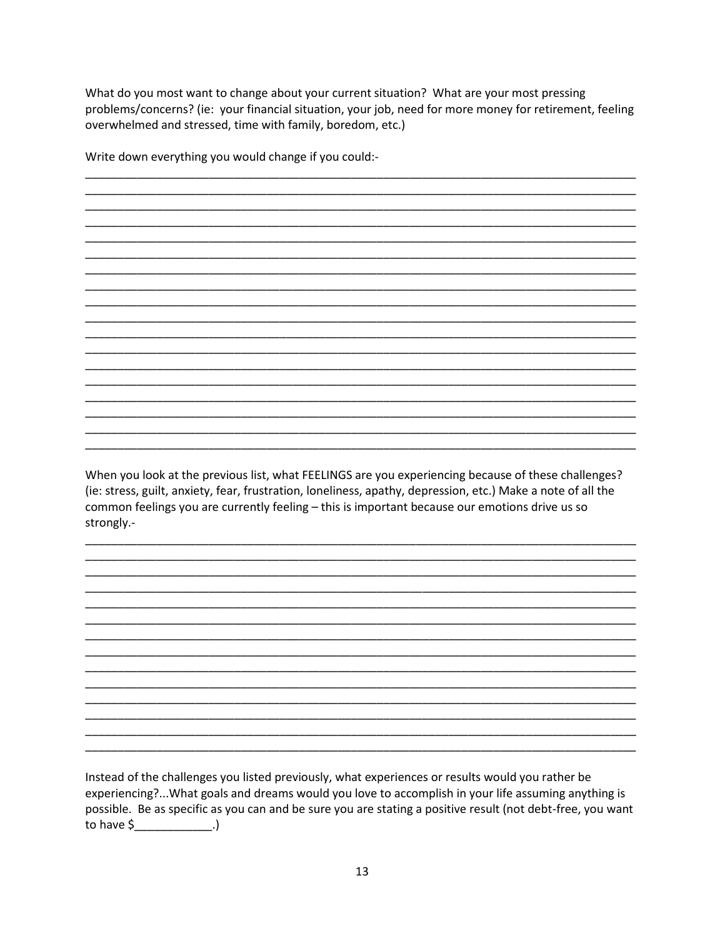What do you most want to change about your current situation? What are your most pressing problems/concerns? (ie: your financial situation, your job, need for more money for retirement, feeling overwhelmed and stressed, time with family, boredom, etc.)

Write down everything you would change if you could:-

When you look at the previous list, what FEELINGS are you experiencing because of these challenges? (ie: stress, guilt, anxiety, fear, frustration, loneliness, apathy, depression, etc.) Make a note of all the common feelings you are currently feeling - this is important because our emotions drive us so strongly.-

Instead of the challenges you listed previously, what experiences or results would you rather be experiencing?...What goals and dreams would you love to accomplish in your life assuming anything is possible. Be as specific as you can and be sure you are stating a positive result (not debt-free, you want to have  $\zeta$  \_\_\_\_\_\_\_\_\_\_\_\_\_\_\_.)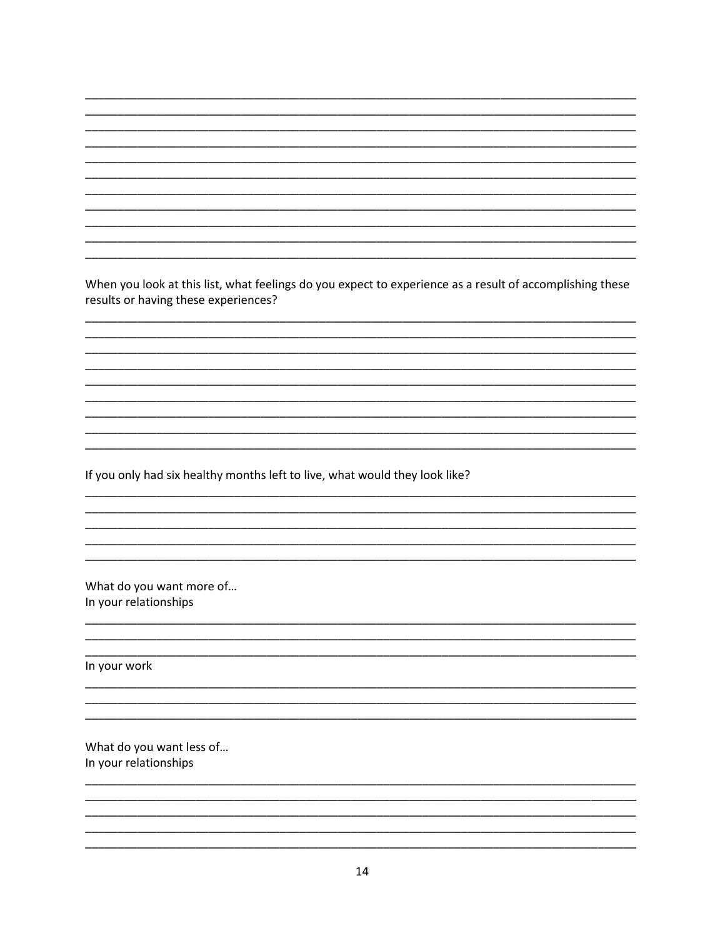When you look at this list, what feelings do you expect to experience as a result of accomplishing these results or having these experiences?

If you only had six healthy months left to live, what would they look like?

What do you want more of... In your relationships

In your work

What do you want less of... In your relationships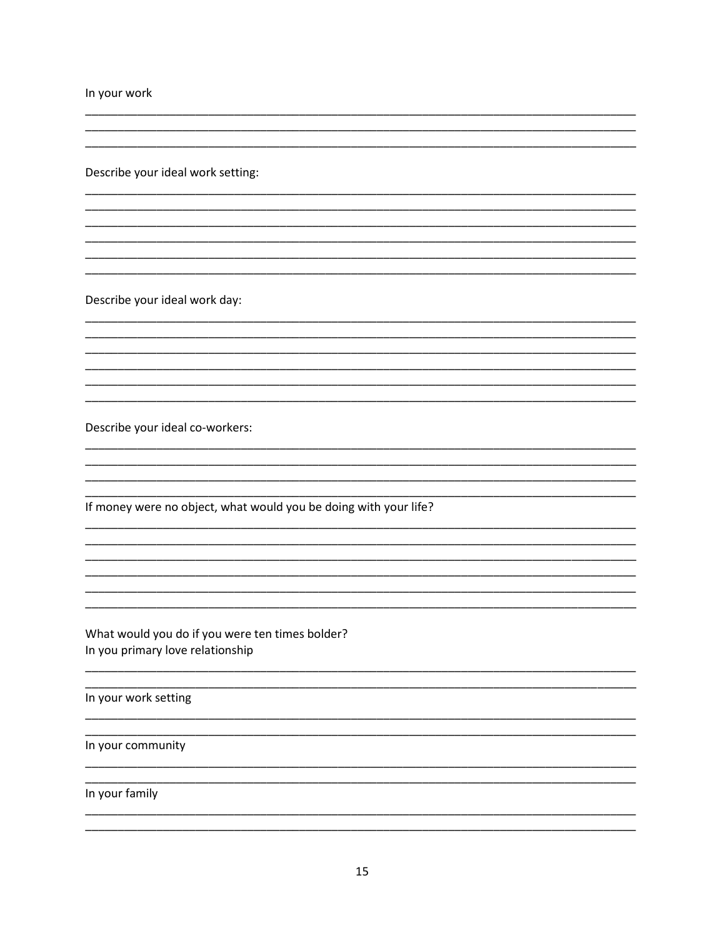In your work

Describe your ideal work setting:

Describe your ideal work day:

Describe your ideal co-workers:

If money were no object, what would you be doing with your life?

What would you do if you were ten times bolder? In you primary love relationship

In your work setting

In your community

In your family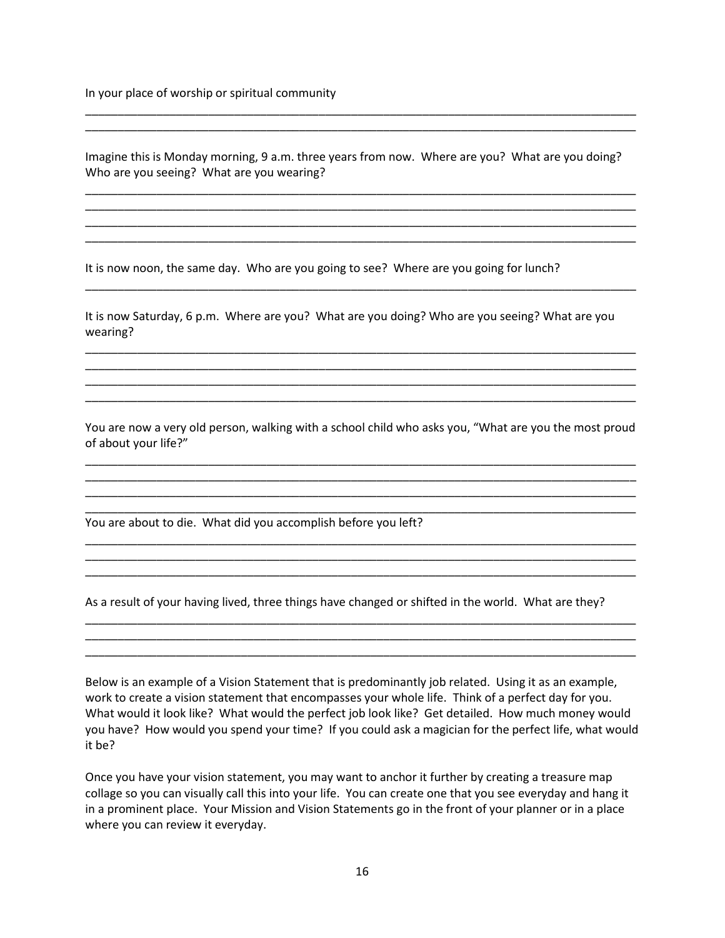In your place of worship or spiritual community

Imagine this is Monday morning, 9 a.m. three years from now. Where are you? What are you doing? Who are you seeing? What are you wearing?

\_\_\_\_\_\_\_\_\_\_\_\_\_\_\_\_\_\_\_\_\_\_\_\_\_\_\_\_\_\_\_\_\_\_\_\_\_\_\_\_\_\_\_\_\_\_\_\_\_\_\_\_\_\_\_\_\_\_\_\_\_\_\_\_\_\_\_\_\_\_\_\_\_\_\_\_\_\_\_\_\_\_\_\_\_ \_\_\_\_\_\_\_\_\_\_\_\_\_\_\_\_\_\_\_\_\_\_\_\_\_\_\_\_\_\_\_\_\_\_\_\_\_\_\_\_\_\_\_\_\_\_\_\_\_\_\_\_\_\_\_\_\_\_\_\_\_\_\_\_\_\_\_\_\_\_\_\_\_\_\_\_\_\_\_\_\_\_\_\_\_ \_\_\_\_\_\_\_\_\_\_\_\_\_\_\_\_\_\_\_\_\_\_\_\_\_\_\_\_\_\_\_\_\_\_\_\_\_\_\_\_\_\_\_\_\_\_\_\_\_\_\_\_\_\_\_\_\_\_\_\_\_\_\_\_\_\_\_\_\_\_\_\_\_\_\_\_\_\_\_\_\_\_\_\_\_ \_\_\_\_\_\_\_\_\_\_\_\_\_\_\_\_\_\_\_\_\_\_\_\_\_\_\_\_\_\_\_\_\_\_\_\_\_\_\_\_\_\_\_\_\_\_\_\_\_\_\_\_\_\_\_\_\_\_\_\_\_\_\_\_\_\_\_\_\_\_\_\_\_\_\_\_\_\_\_\_\_\_\_\_\_

\_\_\_\_\_\_\_\_\_\_\_\_\_\_\_\_\_\_\_\_\_\_\_\_\_\_\_\_\_\_\_\_\_\_\_\_\_\_\_\_\_\_\_\_\_\_\_\_\_\_\_\_\_\_\_\_\_\_\_\_\_\_\_\_\_\_\_\_\_\_\_\_\_\_\_\_\_\_\_\_\_\_\_\_\_ \_\_\_\_\_\_\_\_\_\_\_\_\_\_\_\_\_\_\_\_\_\_\_\_\_\_\_\_\_\_\_\_\_\_\_\_\_\_\_\_\_\_\_\_\_\_\_\_\_\_\_\_\_\_\_\_\_\_\_\_\_\_\_\_\_\_\_\_\_\_\_\_\_\_\_\_\_\_\_\_\_\_\_\_\_

It is now noon, the same day. Who are you going to see? Where are you going for lunch?

It is now Saturday, 6 p.m. Where are you? What are you doing? Who are you seeing? What are you wearing?

\_\_\_\_\_\_\_\_\_\_\_\_\_\_\_\_\_\_\_\_\_\_\_\_\_\_\_\_\_\_\_\_\_\_\_\_\_\_\_\_\_\_\_\_\_\_\_\_\_\_\_\_\_\_\_\_\_\_\_\_\_\_\_\_\_\_\_\_\_\_\_\_\_\_\_\_\_\_\_\_\_\_\_\_\_

\_\_\_\_\_\_\_\_\_\_\_\_\_\_\_\_\_\_\_\_\_\_\_\_\_\_\_\_\_\_\_\_\_\_\_\_\_\_\_\_\_\_\_\_\_\_\_\_\_\_\_\_\_\_\_\_\_\_\_\_\_\_\_\_\_\_\_\_\_\_\_\_\_\_\_\_\_\_\_\_\_\_\_\_\_ \_\_\_\_\_\_\_\_\_\_\_\_\_\_\_\_\_\_\_\_\_\_\_\_\_\_\_\_\_\_\_\_\_\_\_\_\_\_\_\_\_\_\_\_\_\_\_\_\_\_\_\_\_\_\_\_\_\_\_\_\_\_\_\_\_\_\_\_\_\_\_\_\_\_\_\_\_\_\_\_\_\_\_\_\_ \_\_\_\_\_\_\_\_\_\_\_\_\_\_\_\_\_\_\_\_\_\_\_\_\_\_\_\_\_\_\_\_\_\_\_\_\_\_\_\_\_\_\_\_\_\_\_\_\_\_\_\_\_\_\_\_\_\_\_\_\_\_\_\_\_\_\_\_\_\_\_\_\_\_\_\_\_\_\_\_\_\_\_\_\_ \_\_\_\_\_\_\_\_\_\_\_\_\_\_\_\_\_\_\_\_\_\_\_\_\_\_\_\_\_\_\_\_\_\_\_\_\_\_\_\_\_\_\_\_\_\_\_\_\_\_\_\_\_\_\_\_\_\_\_\_\_\_\_\_\_\_\_\_\_\_\_\_\_\_\_\_\_\_\_\_\_\_\_\_\_

You are now a very old person, walking with a school child who asks you, "What are you the most proud of about your life?"

\_\_\_\_\_\_\_\_\_\_\_\_\_\_\_\_\_\_\_\_\_\_\_\_\_\_\_\_\_\_\_\_\_\_\_\_\_\_\_\_\_\_\_\_\_\_\_\_\_\_\_\_\_\_\_\_\_\_\_\_\_\_\_\_\_\_\_\_\_\_\_\_\_\_\_\_\_\_\_\_\_\_\_\_\_ \_\_\_\_\_\_\_\_\_\_\_\_\_\_\_\_\_\_\_\_\_\_\_\_\_\_\_\_\_\_\_\_\_\_\_\_\_\_\_\_\_\_\_\_\_\_\_\_\_\_\_\_\_\_\_\_\_\_\_\_\_\_\_\_\_\_\_\_\_\_\_\_\_\_\_\_\_\_\_\_\_\_\_\_\_ \_\_\_\_\_\_\_\_\_\_\_\_\_\_\_\_\_\_\_\_\_\_\_\_\_\_\_\_\_\_\_\_\_\_\_\_\_\_\_\_\_\_\_\_\_\_\_\_\_\_\_\_\_\_\_\_\_\_\_\_\_\_\_\_\_\_\_\_\_\_\_\_\_\_\_\_\_\_\_\_\_\_\_\_\_ \_\_\_\_\_\_\_\_\_\_\_\_\_\_\_\_\_\_\_\_\_\_\_\_\_\_\_\_\_\_\_\_\_\_\_\_\_\_\_\_\_\_\_\_\_\_\_\_\_\_\_\_\_\_\_\_\_\_\_\_\_\_\_\_\_\_\_\_\_\_\_\_\_\_\_\_\_\_\_\_\_\_\_\_\_

\_\_\_\_\_\_\_\_\_\_\_\_\_\_\_\_\_\_\_\_\_\_\_\_\_\_\_\_\_\_\_\_\_\_\_\_\_\_\_\_\_\_\_\_\_\_\_\_\_\_\_\_\_\_\_\_\_\_\_\_\_\_\_\_\_\_\_\_\_\_\_\_\_\_\_\_\_\_\_\_\_\_\_\_\_ \_\_\_\_\_\_\_\_\_\_\_\_\_\_\_\_\_\_\_\_\_\_\_\_\_\_\_\_\_\_\_\_\_\_\_\_\_\_\_\_\_\_\_\_\_\_\_\_\_\_\_\_\_\_\_\_\_\_\_\_\_\_\_\_\_\_\_\_\_\_\_\_\_\_\_\_\_\_\_\_\_\_\_\_\_ \_\_\_\_\_\_\_\_\_\_\_\_\_\_\_\_\_\_\_\_\_\_\_\_\_\_\_\_\_\_\_\_\_\_\_\_\_\_\_\_\_\_\_\_\_\_\_\_\_\_\_\_\_\_\_\_\_\_\_\_\_\_\_\_\_\_\_\_\_\_\_\_\_\_\_\_\_\_\_\_\_\_\_\_\_

\_\_\_\_\_\_\_\_\_\_\_\_\_\_\_\_\_\_\_\_\_\_\_\_\_\_\_\_\_\_\_\_\_\_\_\_\_\_\_\_\_\_\_\_\_\_\_\_\_\_\_\_\_\_\_\_\_\_\_\_\_\_\_\_\_\_\_\_\_\_\_\_\_\_\_\_\_\_\_\_\_\_\_\_\_ \_\_\_\_\_\_\_\_\_\_\_\_\_\_\_\_\_\_\_\_\_\_\_\_\_\_\_\_\_\_\_\_\_\_\_\_\_\_\_\_\_\_\_\_\_\_\_\_\_\_\_\_\_\_\_\_\_\_\_\_\_\_\_\_\_\_\_\_\_\_\_\_\_\_\_\_\_\_\_\_\_\_\_\_\_ \_\_\_\_\_\_\_\_\_\_\_\_\_\_\_\_\_\_\_\_\_\_\_\_\_\_\_\_\_\_\_\_\_\_\_\_\_\_\_\_\_\_\_\_\_\_\_\_\_\_\_\_\_\_\_\_\_\_\_\_\_\_\_\_\_\_\_\_\_\_\_\_\_\_\_\_\_\_\_\_\_\_\_\_\_

You are about to die. What did you accomplish before you left?

As a result of your having lived, three things have changed or shifted in the world. What are they?

Below is an example of a Vision Statement that is predominantly job related. Using it as an example, work to create a vision statement that encompasses your whole life. Think of a perfect day for you. What would it look like? What would the perfect job look like? Get detailed. How much money would you have? How would you spend your time? If you could ask a magician for the perfect life, what would it be?

Once you have your vision statement, you may want to anchor it further by creating a treasure map collage so you can visually call this into your life. You can create one that you see everyday and hang it in a prominent place. Your Mission and Vision Statements go in the front of your planner or in a place where you can review it everyday.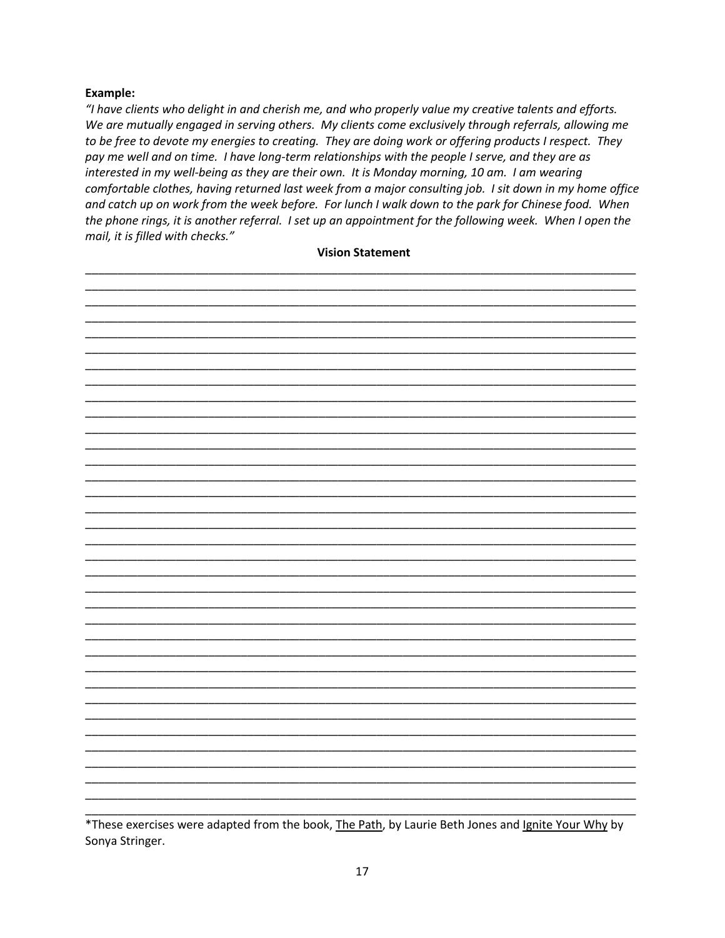#### Example:

"I have clients who delight in and cherish me, and who properly value my creative talents and efforts. We are mutually engaged in serving others. My clients come exclusively through referrals, allowing me to be free to devote my energies to creating. They are doing work or offering products I respect. They pay me well and on time. I have long-term relationships with the people I serve, and they are as interested in my well-being as they are their own. It is Monday morning, 10 am. I am wearing comfortable clothes, having returned last week from a major consulting job. I sit down in my home office and catch up on work from the week before. For lunch I walk down to the park for Chinese food. When the phone rings, it is another referral. I set up an appointment for the following week. When I open the mail, it is filled with checks."

#### **Vision Statement**

\*These exercises were adapted from the book, The Path, by Laurie Beth Jones and Ignite Your Why by Sonya Stringer.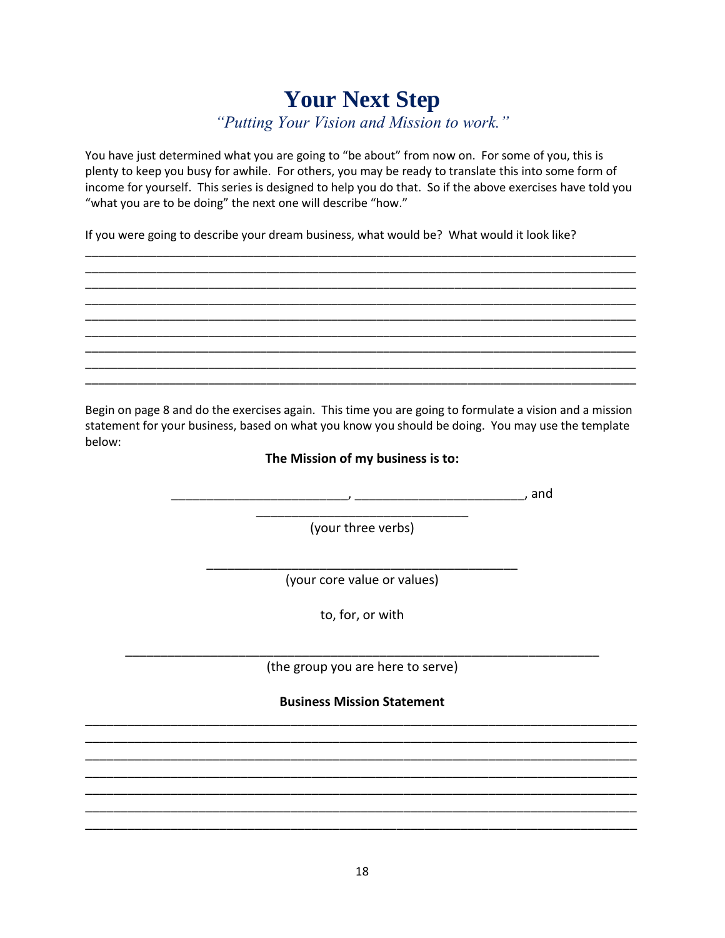# **Your Next Step**

*"Putting Your Vision and Mission to work."*

You have just determined what you are going to "be about" from now on. For some of you, this is plenty to keep you busy for awhile. For others, you may be ready to translate this into some form of income for yourself. This series is designed to help you do that. So if the above exercises have told you "what you are to be doing" the next one will describe "how."

\_\_\_\_\_\_\_\_\_\_\_\_\_\_\_\_\_\_\_\_\_\_\_\_\_\_\_\_\_\_\_\_\_\_\_\_\_\_\_\_\_\_\_\_\_\_\_\_\_\_\_\_\_\_\_\_\_\_\_\_\_\_\_\_\_\_\_\_\_\_\_\_\_\_\_\_\_\_\_\_\_\_\_\_\_ \_\_\_\_\_\_\_\_\_\_\_\_\_\_\_\_\_\_\_\_\_\_\_\_\_\_\_\_\_\_\_\_\_\_\_\_\_\_\_\_\_\_\_\_\_\_\_\_\_\_\_\_\_\_\_\_\_\_\_\_\_\_\_\_\_\_\_\_\_\_\_\_\_\_\_\_\_\_\_\_\_\_\_\_\_ \_\_\_\_\_\_\_\_\_\_\_\_\_\_\_\_\_\_\_\_\_\_\_\_\_\_\_\_\_\_\_\_\_\_\_\_\_\_\_\_\_\_\_\_\_\_\_\_\_\_\_\_\_\_\_\_\_\_\_\_\_\_\_\_\_\_\_\_\_\_\_\_\_\_\_\_\_\_\_\_\_\_\_\_\_ \_\_\_\_\_\_\_\_\_\_\_\_\_\_\_\_\_\_\_\_\_\_\_\_\_\_\_\_\_\_\_\_\_\_\_\_\_\_\_\_\_\_\_\_\_\_\_\_\_\_\_\_\_\_\_\_\_\_\_\_\_\_\_\_\_\_\_\_\_\_\_\_\_\_\_\_\_\_\_\_\_\_\_\_\_ \_\_\_\_\_\_\_\_\_\_\_\_\_\_\_\_\_\_\_\_\_\_\_\_\_\_\_\_\_\_\_\_\_\_\_\_\_\_\_\_\_\_\_\_\_\_\_\_\_\_\_\_\_\_\_\_\_\_\_\_\_\_\_\_\_\_\_\_\_\_\_\_\_\_\_\_\_\_\_\_\_\_\_\_\_ \_\_\_\_\_\_\_\_\_\_\_\_\_\_\_\_\_\_\_\_\_\_\_\_\_\_\_\_\_\_\_\_\_\_\_\_\_\_\_\_\_\_\_\_\_\_\_\_\_\_\_\_\_\_\_\_\_\_\_\_\_\_\_\_\_\_\_\_\_\_\_\_\_\_\_\_\_\_\_\_\_\_\_\_\_ \_\_\_\_\_\_\_\_\_\_\_\_\_\_\_\_\_\_\_\_\_\_\_\_\_\_\_\_\_\_\_\_\_\_\_\_\_\_\_\_\_\_\_\_\_\_\_\_\_\_\_\_\_\_\_\_\_\_\_\_\_\_\_\_\_\_\_\_\_\_\_\_\_\_\_\_\_\_\_\_\_\_\_\_\_ \_\_\_\_\_\_\_\_\_\_\_\_\_\_\_\_\_\_\_\_\_\_\_\_\_\_\_\_\_\_\_\_\_\_\_\_\_\_\_\_\_\_\_\_\_\_\_\_\_\_\_\_\_\_\_\_\_\_\_\_\_\_\_\_\_\_\_\_\_\_\_\_\_\_\_\_\_\_\_\_\_\_\_\_\_ \_\_\_\_\_\_\_\_\_\_\_\_\_\_\_\_\_\_\_\_\_\_\_\_\_\_\_\_\_\_\_\_\_\_\_\_\_\_\_\_\_\_\_\_\_\_\_\_\_\_\_\_\_\_\_\_\_\_\_\_\_\_\_\_\_\_\_\_\_\_\_\_\_\_\_\_\_\_\_\_\_\_\_\_\_

If you were going to describe your dream business, what would be? What would it look like?

Begin on page 8 and do the exercises again. This time you are going to formulate a vision and a mission statement for your business, based on what you know you should be doing. You may use the template below:

#### **The Mission of my business is to:**

\_\_\_\_\_\_\_\_\_\_\_\_\_\_\_\_\_\_\_\_\_\_\_\_\_, \_\_\_\_\_\_\_\_\_\_\_\_\_\_\_\_\_\_\_\_\_\_\_\_, and

\_\_\_\_\_\_\_\_\_\_\_\_\_\_\_\_\_\_\_\_\_\_\_\_\_\_\_\_\_\_ (your three verbs)

\_\_\_\_\_\_\_\_\_\_\_\_\_\_\_\_\_\_\_\_\_\_\_\_\_\_\_\_\_\_\_\_\_\_\_\_\_\_\_\_\_\_\_\_ (your core value or values)

to, for, or with

\_\_\_\_\_\_\_\_\_\_\_\_\_\_\_\_\_\_\_\_\_\_\_\_\_\_\_\_\_\_\_\_\_\_\_\_\_\_\_\_\_\_\_\_\_\_\_\_\_\_\_\_\_\_\_\_\_\_\_\_\_\_\_\_\_\_\_ (the group you are here to serve)

**Business Mission Statement** \_\_\_\_\_\_\_\_\_\_\_\_\_\_\_\_\_\_\_\_\_\_\_\_\_\_\_\_\_\_\_\_\_\_\_\_\_\_\_\_\_\_\_\_\_\_\_\_\_\_\_\_\_\_\_\_\_\_\_\_\_\_\_\_\_\_\_\_\_\_\_\_\_\_\_\_\_\_

\_\_\_\_\_\_\_\_\_\_\_\_\_\_\_\_\_\_\_\_\_\_\_\_\_\_\_\_\_\_\_\_\_\_\_\_\_\_\_\_\_\_\_\_\_\_\_\_\_\_\_\_\_\_\_\_\_\_\_\_\_\_\_\_\_\_\_\_\_\_\_\_\_\_\_\_\_\_ \_\_\_\_\_\_\_\_\_\_\_\_\_\_\_\_\_\_\_\_\_\_\_\_\_\_\_\_\_\_\_\_\_\_\_\_\_\_\_\_\_\_\_\_\_\_\_\_\_\_\_\_\_\_\_\_\_\_\_\_\_\_\_\_\_\_\_\_\_\_\_\_\_\_\_\_\_\_ \_\_\_\_\_\_\_\_\_\_\_\_\_\_\_\_\_\_\_\_\_\_\_\_\_\_\_\_\_\_\_\_\_\_\_\_\_\_\_\_\_\_\_\_\_\_\_\_\_\_\_\_\_\_\_\_\_\_\_\_\_\_\_\_\_\_\_\_\_\_\_\_\_\_\_\_\_\_ \_\_\_\_\_\_\_\_\_\_\_\_\_\_\_\_\_\_\_\_\_\_\_\_\_\_\_\_\_\_\_\_\_\_\_\_\_\_\_\_\_\_\_\_\_\_\_\_\_\_\_\_\_\_\_\_\_\_\_\_\_\_\_\_\_\_\_\_\_\_\_\_\_\_\_\_\_\_ \_\_\_\_\_\_\_\_\_\_\_\_\_\_\_\_\_\_\_\_\_\_\_\_\_\_\_\_\_\_\_\_\_\_\_\_\_\_\_\_\_\_\_\_\_\_\_\_\_\_\_\_\_\_\_\_\_\_\_\_\_\_\_\_\_\_\_\_\_\_\_\_\_\_\_\_\_\_ \_\_\_\_\_\_\_\_\_\_\_\_\_\_\_\_\_\_\_\_\_\_\_\_\_\_\_\_\_\_\_\_\_\_\_\_\_\_\_\_\_\_\_\_\_\_\_\_\_\_\_\_\_\_\_\_\_\_\_\_\_\_\_\_\_\_\_\_\_\_\_\_\_\_\_\_\_\_